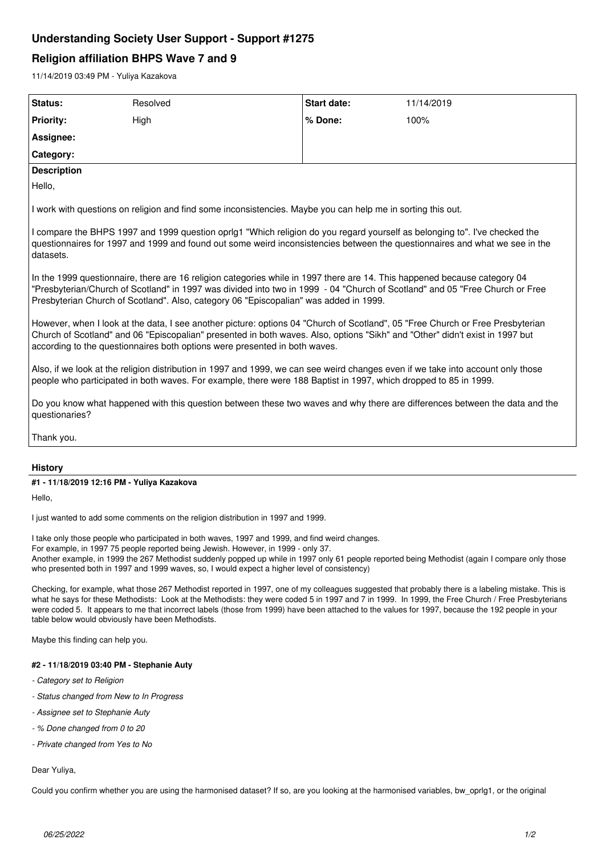## **Understanding Society User Support - Support #1275**

# **Religion affiliation BHPS Wave 7 and 9**

11/14/2019 03:49 PM - Yuliya Kazakova

| Status:                                                                                                                                                                                                                                                                                                                                                                                                                                 | Resolved | Start date: | 11/14/2019 |
|-----------------------------------------------------------------------------------------------------------------------------------------------------------------------------------------------------------------------------------------------------------------------------------------------------------------------------------------------------------------------------------------------------------------------------------------|----------|-------------|------------|
| <b>Priority:</b>                                                                                                                                                                                                                                                                                                                                                                                                                        | High     | % Done:     | 100%       |
| Assignee:                                                                                                                                                                                                                                                                                                                                                                                                                               |          |             |            |
| Category:                                                                                                                                                                                                                                                                                                                                                                                                                               |          |             |            |
| <b>Description</b>                                                                                                                                                                                                                                                                                                                                                                                                                      |          |             |            |
| Hello,                                                                                                                                                                                                                                                                                                                                                                                                                                  |          |             |            |
| I work with questions on religion and find some inconsistencies. Maybe you can help me in sorting this out.                                                                                                                                                                                                                                                                                                                             |          |             |            |
| I compare the BHPS 1997 and 1999 question oprig1 "Which religion do you regard yourself as belonging to". I've checked the<br>questionnaires for 1997 and 1999 and found out some weird inconsistencies between the questionnaires and what we see in the<br>datasets.                                                                                                                                                                  |          |             |            |
| In the 1999 questionnaire, there are 16 religion categories while in 1997 there are 14. This happened because category 04<br>"Presbyterian/Church of Scotland" in 1997 was divided into two in 1999 - 04 "Church of Scotland" and 05 "Free Church or Free<br>Presbyterian Church of Scotland". Also, category 06 "Episcopalian" was added in 1999.                                                                                      |          |             |            |
| However, when I look at the data, I see another picture: options 04 "Church of Scotland", 05 "Free Church or Free Presbyterian<br>Church of Scotland" and 06 "Episcopalian" presented in both waves. Also, options "Sikh" and "Other" didn't exist in 1997 but<br>according to the questionnaires both options were presented in both waves.                                                                                            |          |             |            |
| Also, if we look at the religion distribution in 1997 and 1999, we can see weird changes even if we take into account only those<br>people who participated in both waves. For example, there were 188 Baptist in 1997, which dropped to 85 in 1999.                                                                                                                                                                                    |          |             |            |
| Do you know what happened with this question between these two waves and why there are differences between the data and the<br>questionaries?                                                                                                                                                                                                                                                                                           |          |             |            |
| Thank you.                                                                                                                                                                                                                                                                                                                                                                                                                              |          |             |            |
|                                                                                                                                                                                                                                                                                                                                                                                                                                         |          |             |            |
| <b>History</b>                                                                                                                                                                                                                                                                                                                                                                                                                          |          |             |            |
| #1 - 11/18/2019 12:16 PM - Yuliya Kazakova                                                                                                                                                                                                                                                                                                                                                                                              |          |             |            |
| Hello,                                                                                                                                                                                                                                                                                                                                                                                                                                  |          |             |            |
| I just wanted to add some comments on the religion distribution in 1997 and 1999.                                                                                                                                                                                                                                                                                                                                                       |          |             |            |
| I take only those people who participated in both waves, 1997 and 1999, and find weird changes.<br>For example, in 1997 75 people reported being Jewish. However, in 1999 - only 37.<br>Another example, in 1999 the 267 Methodist suddenly popped up while in 1997 only 61 people reported being Methodist (again I compare only those<br>who presented both in 1997 and 1999 waves, so, I would expect a higher level of consistency) |          |             |            |

Checking, for example, what those 267 Methodist reported in 1997, one of my colleagues suggested that probably there is a labeling mistake. This is what he says for these Methodists: Look at the Methodists: they were coded 5 in 1997 and 7 in 1999. In 1999, the Free Church / Free Presbyterians were coded 5. It appears to me that incorrect labels (those from 1999) have been attached to the values for 1997, because the 192 people in your table below would obviously have been Methodists.

Maybe this finding can help you.

## **#2 - 11/18/2019 03:40 PM - Stephanie Auty**

- *Category set to Religion*
- *Status changed from New to In Progress*
- *Assignee set to Stephanie Auty*
- *% Done changed from 0 to 20*
- *Private changed from Yes to No*

#### Dear Yuliya,

Could you confirm whether you are using the harmonised dataset? If so, are you looking at the harmonised variables, bw\_oprlg1, or the original